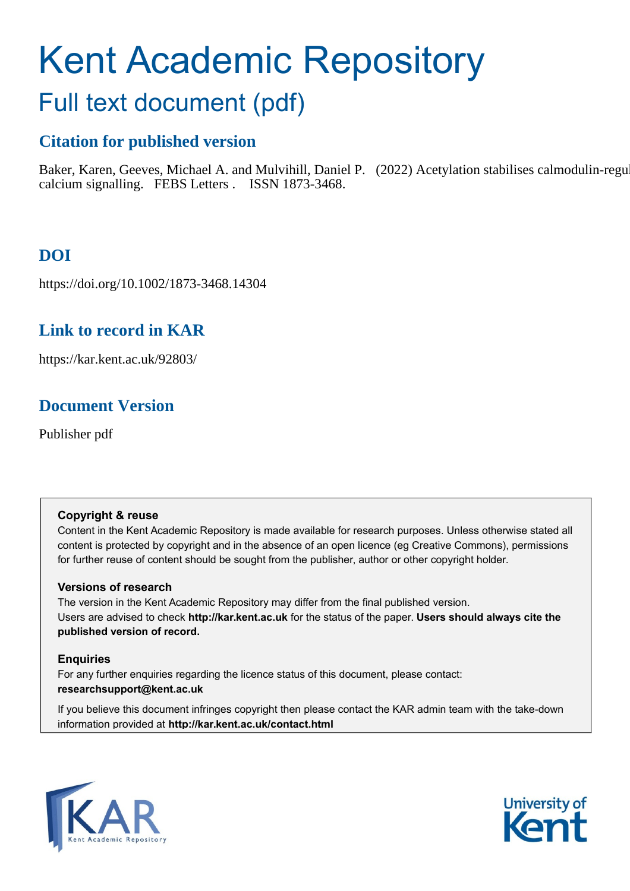# Kent Academic Repository

# Full text document (pdf)

# **Citation for published version**

Baker, Karen, Geeves, Michael A. and Mulvihill, Daniel P. (2022) Acetylation stabilises calmodulin-regulated calcium signalling. FEBS Letters . ISSN 1873-3468.

# **DOI**

https://doi.org/10.1002/1873-3468.14304

# **Link to record in KAR**

https://kar.kent.ac.uk/92803/

# **Document Version**

Publisher pdf

# **Copyright & reuse**

Content in the Kent Academic Repository is made available for research purposes. Unless otherwise stated all content is protected by copyright and in the absence of an open licence (eg Creative Commons), permissions for further reuse of content should be sought from the publisher, author or other copyright holder.

# **Versions of research**

The version in the Kent Academic Repository may differ from the final published version. Users are advised to check **http://kar.kent.ac.uk** for the status of the paper. **Users should always cite the published version of record.**

# **Enquiries**

For any further enquiries regarding the licence status of this document, please contact: **researchsupport@kent.ac.uk**

If you believe this document infringes copyright then please contact the KAR admin team with the take-down information provided at **http://kar.kent.ac.uk/contact.html**



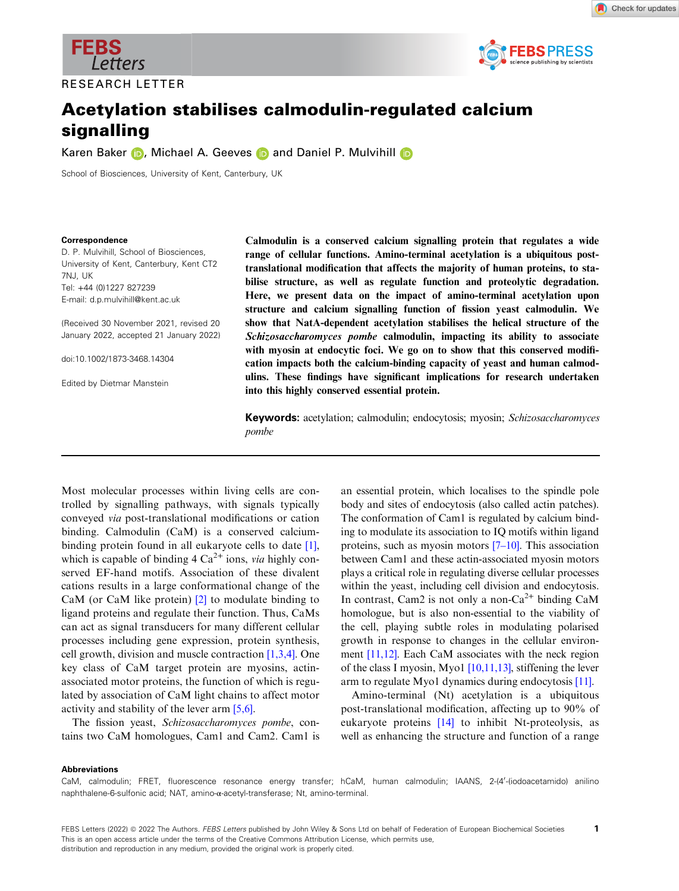

RESEARCH LETTER



# Acetylation stabilises calmodulin-regulated calcium signalling

Ka[r](https://orcid.org/0000-0001-7628-1978)en Baker **D**, Michae[l](https://orcid.org/0000-0003-2502-5274) A. Geeves **D** and Daniel P. Mulvihill **D** 

School of Biosciences, University of Kent, Canterbury, UK

### Correspondence

D. P. Mulvihill, School of Biosciences, University of Kent, Canterbury, Kent CT2 7NJ, UK Tel: +44 (0)1227 827239 E-mail: [d.p.mulvihill@kent.ac.uk](mailto:)

(Received 30 November 2021, revised 20 January 2022, accepted 21 January 2022)

doi:10.1002/1873-3468.14304

Edited by Dietmar Manstein

Calmodulin is a conserved calcium signalling protein that regulates a wide range of cellular functions. Amino-terminal acetylation is a ubiquitous posttranslational modification that affects the majority of human proteins, to stabilise structure, as well as regulate function and proteolytic degradation. Here, we present data on the impact of amino-terminal acetylation upon structure and calcium signalling function of fission yeast calmodulin. We show that NatA-dependent acetylation stabilises the helical structure of the Schizosaccharomyces pombe calmodulin, impacting its ability to associate with myosin at endocytic foci. We go on to show that this conserved modification impacts both the calcium-binding capacity of yeast and human calmodulins. These findings have significant implications for research undertaken into this highly conserved essential protein.

Keywords: acetylation; calmodulin; endocytosis; myosin; Schizosaccharomyces pombe

Most molecular processes within living cells are controlled by signalling pathways, with signals typically conveyed via post-translational modifications or cation binding. Calmodulin (CaM) is a conserved calciumbinding protein found in all eukaryote cells to date [1], which is capable of binding  $4 Ca<sup>2+</sup> ions, via highly con$ served EF-hand motifs. Association of these divalent cations results in a large conformational change of the CaM (or CaM like protein) [2] to modulate binding to ligand proteins and regulate their function. Thus, CaMs can act as signal transducers for many different cellular processes including gene expression, protein synthesis, cell growth, division and muscle contraction [1,3,4]. One key class of CaM target protein are myosins, actinassociated motor proteins, the function of which is regulated by association of CaM light chains to affect motor activity and stability of the lever arm [5,6].

The fission yeast, Schizosaccharomyces pombe, contains two CaM homologues, Cam1 and Cam2. Cam1 is an essential protein, which localises to the spindle pole body and sites of endocytosis (also called actin patches). The conformation of Cam1 is regulated by calcium binding to modulate its association to IQ motifs within ligand proteins, such as myosin motors  $[7-10]$ . This association between Cam1 and these actin-associated myosin motors plays a critical role in regulating diverse cellular processes within the yeast, including cell division and endocytosis. In contrast, Cam2 is not only a non-Ca<sup>2+</sup> binding CaM homologue, but is also non-essential to the viability of the cell, playing subtle roles in modulating polarised growth in response to changes in the cellular environment [11,12]. Each CaM associates with the neck region of the class I myosin, Myo1 [10,11,13], stiffening the lever arm to regulate Myo1 dynamics during endocytosis [11].

Amino-terminal (Nt) acetylation is a ubiquitous post-translational modification, affecting up to 90% of eukaryote proteins [14] to inhibit Nt-proteolysis, as well as enhancing the structure and function of a range

### Abbreviations

CaM, calmodulin; FRET, fluorescence resonance energy transfer; hCaM, human calmodulin; IAANS, 2-(4'-(iodoacetamido) anilino naphthalene-6-sulfonic acid; NAT, amino-α-acetyl-transferase; Nt, amino-terminal.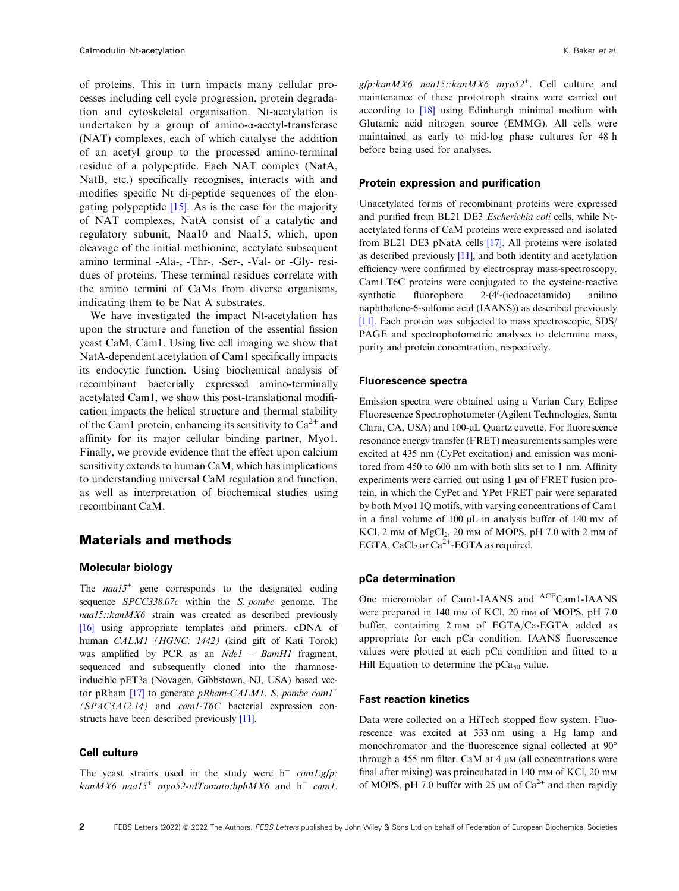of proteins. This in turn impacts many cellular processes including cell cycle progression, protein degradation and cytoskeletal organisation. Nt-acetylation is undertaken by a group of amino-α-acetyl-transferase (NAT) complexes, each of which catalyse the addition of an acetyl group to the processed amino-terminal residue of a polypeptide. Each NAT complex (NatA, NatB, etc.) specifically recognises, interacts with and modifies specific Nt di-peptide sequences of the elongating polypeptide  $[15]$ . As is the case for the majority of NAT complexes, NatA consist of a catalytic and regulatory subunit, Naa10 and Naa15, which, upon cleavage of the initial methionine, acetylate subsequent amino terminal -Ala-, -Thr-, -Ser-, -Val- or -Gly- residues of proteins. These terminal residues correlate with the amino termini of CaMs from diverse organisms, indicating them to be Nat A substrates.

We have investigated the impact Nt-acetylation has upon the structure and function of the essential fission yeast CaM, Cam1. Using live cell imaging we show that NatA-dependent acetylation of Cam1 specifically impacts its endocytic function. Using biochemical analysis of recombinant bacterially expressed amino-terminally acetylated Cam1, we show this post-translational modification impacts the helical structure and thermal stability of the Cam1 protein, enhancing its sensitivity to  $Ca^{2+}$  and affinity for its major cellular binding partner, Myo1. Finally, we provide evidence that the effect upon calcium sensitivity extends to human CaM, which has implications to understanding universal CaM regulation and function, as well as interpretation of biochemical studies using recombinant CaM.

# Materials and methods

# Molecular biology

The  $naal5<sup>+</sup>$  gene corresponds to the designated coding sequence SPCC338.07c within the S. pombe genome. The naa15::kanMX6 strain was created as described previously [16] using appropriate templates and primers. cDNA of human CALM1 (HGNC: 1442) (kind gift of Kati Torok) was amplified by PCR as an Nde1 - BamH1 fragment, sequenced and subsequently cloned into the rhamnoseinducible pET3a (Novagen, Gibbstown, NJ, USA) based vector pRham  $[17]$  to generate *pRham-CALM1*. S. *pombe cam1*<sup>+</sup> (SPAC3A12.14) and cam1-T6C bacterial expression constructs have been described previously [11].

# Cell culture

The yeast strains used in the study were  $h^-$  cam1.gfp: kanMX6 naa15<sup>+</sup> myo52-tdTomato:hphMX6 and  $h^-$  cam1.

gfp:kanMX6 naa15::kanMX6 myo52<sup>+</sup>. Cell culture and maintenance of these prototroph strains were carried out according to [18] using Edinburgh minimal medium with Glutamic acid nitrogen source (EMMG). All cells were maintained as early to mid-log phase cultures for 48 h before being used for analyses.

### Protein expression and purification

Unacetylated forms of recombinant proteins were expressed and purified from BL21 DE3 Escherichia coli cells, while Ntacetylated forms of CaM proteins were expressed and isolated from BL21 DE3 pNatA cells [17]. All proteins were isolated as described previously [11], and both identity and acetylation efficiency were confirmed by electrospray mass-spectroscopy. Cam1.T6C proteins were conjugated to the cysteine-reactive synthetic fluorophore 2-(4'-(iodoacetamido) anilino naphthalene-6-sulfonic acid (IAANS)) as described previously [11]. Each protein was subjected to mass spectroscopic, SDS/ PAGE and spectrophotometric analyses to determine mass, purity and protein concentration, respectively.

### Fluorescence spectra

Emission spectra were obtained using a Varian Cary Eclipse Fluorescence Spectrophotometer (Agilent Technologies, Santa Clara, CA, USA) and 100-µL Quartz cuvette. For fluorescence resonance energy transfer (FRET) measurements samples were excited at 435 nm (CyPet excitation) and emission was monitored from 450 to 600 nm with both slits set to 1 nm. Affinity experiments were carried out using 1  $\mu$ M of FRET fusion protein, in which the CyPet and YPet FRET pair were separated by both Myo1 IQ motifs, with varying concentrations of Cam1 in a final volume of  $100 \mu L$  in analysis buffer of  $140 \text{ mm}$  of KCl,  $2 \text{ mm of MgCl}_2$ ,  $20 \text{ mm of MOPS}$ ,  $pH 7.0 \text{ with } 2 \text{ mm of}$ EGTA, CaCl<sub>2</sub> or Ca<sup>2+</sup>-EGTA as required.

### pCa determination

One micromolar of Cam1-IAANS and <sup>ACE</sup>Cam1-IAANS were prepared in 140 mm of KCl, 20 mm of MOPS, pH 7.0 buffer, containing 2 mm of EGTA/Ca-EGTA added as appropriate for each pCa condition. IAANS fluorescence values were plotted at each pCa condition and fitted to a Hill Equation to determine the  $pCa<sub>50</sub>$  value.

# Fast reaction kinetics

Data were collected on a HiTech stopped flow system. Fluorescence was excited at 333 nm using a Hg lamp and monochromator and the fluorescence signal collected at 90° through a 455 nm filter. CaM at 4  $\mu$ M (all concentrations were final after mixing) was preincubated in 140 mm of KCl, 20 mm of MOPS, pH 7.0 buffer with 25  $\mu$ M of Ca<sup>2+</sup> and then rapidly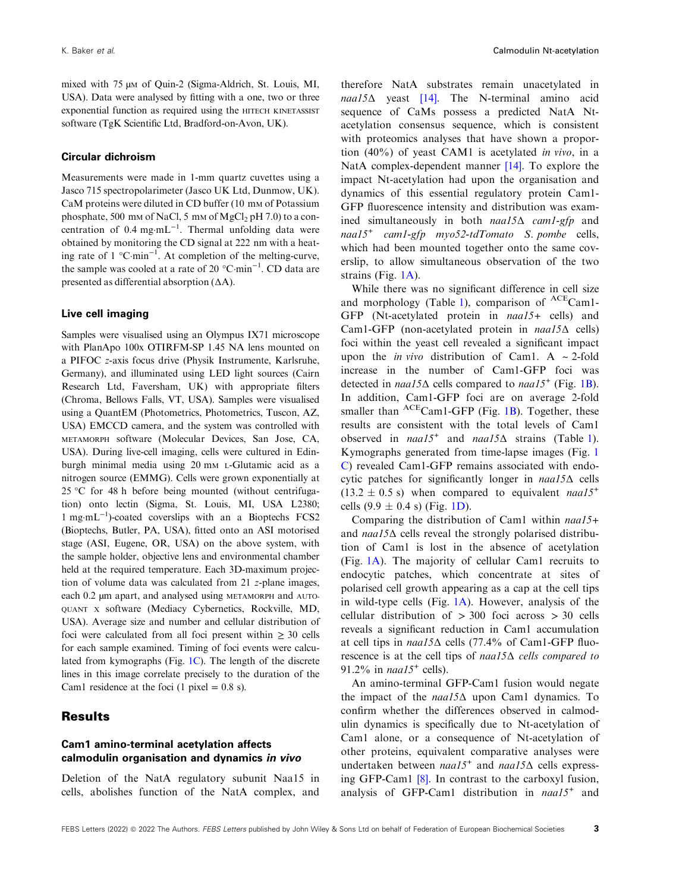mixed with 75 µm of Quin-2 (Sigma-Aldrich, St. Louis, MI, USA). Data were analysed by fitting with a one, two or three exponential function as required using the HITECH KINETASSIST software (TgK Scientific Ltd, Bradford-on-Avon, UK).

## Circular dichroism

Measurements were made in 1-mm quartz cuvettes using a Jasco 715 spectropolarimeter (Jasco UK Ltd, Dunmow, UK). CaM proteins were diluted in CD buffer (10 mm of Potassium phosphate, 500 mm of NaCl, 5 mm of MgCl<sub>2</sub> pH 7.0) to a concentration of  $0.4 \text{ mg} \cdot \text{mL}^{-1}$ . Thermal unfolding data were obtained by monitoring the CD signal at 222 nm with a heating rate of  $1 \degree \text{C-min}^{-1}$ . At completion of the melting-curve, the sample was cooled at a rate of 20  $^{\circ}$ C·min<sup>-1</sup>. CD data are presented as differential absorption (ΔA).

### Live cell imaging

Samples were visualised using an Olympus IX71 microscope with PlanApo 100x OTIRFM-SP 1.45 NA lens mounted on a PIFOC z-axis focus drive (Physik Instrumente, Karlsruhe, Germany), and illuminated using LED light sources (Cairn Research Ltd, Faversham, UK) with appropriate filters (Chroma, Bellows Falls, VT, USA). Samples were visualised using a QuantEM (Photometrics, Photometrics, Tuscon, AZ, USA) EMCCD camera, and the system was controlled with METAMORPH software (Molecular Devices, San Jose, CA, USA). During live-cell imaging, cells were cultured in Edinburgh minimal media using 20 mm L-Glutamic acid as a nitrogen source (EMMG). Cells were grown exponentially at 25 °C for 48 h before being mounted (without centrifugation) onto lectin (Sigma, St. Louis, MI, USA L2380; 1 mg-mL−<sup>1</sup> )-coated coverslips with an a Bioptechs FCS2 (Bioptechs, Butler, PA, USA), fitted onto an ASI motorised stage (ASI, Eugene, OR, USA) on the above system, with the sample holder, objective lens and environmental chamber held at the required temperature. Each 3D-maximum projection of volume data was calculated from 21 z-plane images, each 0.2  $\mu$ m apart, and analysed using METAMORPH and AUTO-QUANT X software (Mediacy Cybernetics, Rockville, MD, USA). Average size and number and cellular distribution of foci were calculated from all foci present within  $\geq 30$  cells for each sample examined. Timing of foci events were calculated from kymographs (Fig. 1C). The length of the discrete lines in this image correlate precisely to the duration of the Cam1 residence at the foci (1 pixel  $= 0.8$  s).

# Results

# Cam1 amino-terminal acetylation affects calmodulin organisation and dynamics in vivo

Deletion of the NatA regulatory subunit Naa15 in cells, abolishes function of the NatA complex, and

therefore NatA substrates remain unacetylated in  $naal5\Delta$  yeast [14]. The N-terminal amino acid sequence of CaMs possess a predicted NatA Ntacetylation consensus sequence, which is consistent with proteomics analyses that have shown a proportion (40%) of yeast CAM1 is acetylated in vivo, in a NatA complex-dependent manner [14]. To explore the impact Nt-acetylation had upon the organisation and dynamics of this essential regulatory protein Cam1- GFP fluorescence intensity and distribution was examined simultaneously in both naa15Δ cam1-gfp and  $naal5<sup>+</sup> cam1-gfp$   $myo52-tdTomato$  S. pombe cells, which had been mounted together onto the same coverslip, to allow simultaneous observation of the two strains (Fig. 1A).

While there was no significant difference in cell size and morphology (Table 1), comparison of  ${}^{ACE}$ Cam1-GFP (Nt-acetylated protein in naa15+ cells) and Cam1-GFP (non-acetylated protein in naa15Δ cells) foci within the yeast cell revealed a significant impact upon the *in vivo* distribution of Cam1. A  $\sim$  2-fold increase in the number of Cam1-GFP foci was detected in  $naal5\Delta$  cells compared to  $naal5^+$  (Fig. 1B). In addition, Cam1-GFP foci are on average 2-fold smaller than  ${}^{ACE}$ Cam1-GFP (Fig. 1B). Together, these results are consistent with the total levels of Cam1 observed in  $naal5<sup>+</sup>$  and  $naal5\Delta$  strains (Table 1). Kymographs generated from time-lapse images (Fig. 1 C) revealed Cam1-GFP remains associated with endocytic patches for significantly longer in naa15Δ cells  $(13.2 \pm 0.5 \text{ s})$  when compared to equivalent *naal* 5<sup>+</sup> cells  $(9.9 \pm 0.4 \text{ s})$  (Fig. 1D).

Comparing the distribution of Cam1 within naa15+ and *naal* 5 $\Delta$  cells reveal the strongly polarised distribution of Cam1 is lost in the absence of acetylation (Fig. 1A). The majority of cellular Cam1 recruits to endocytic patches, which concentrate at sites of polarised cell growth appearing as a cap at the cell tips in wild-type cells (Fig. 1A). However, analysis of the cellular distribution of  $> 300$  foci across  $> 30$  cells reveals a significant reduction in Cam1 accumulation at cell tips in naa15Δ cells (77.4% of Cam1-GFP fluorescence is at the cell tips of naa15Δ cells compared to 91.2% in  $naa15<sup>+</sup>$  cells).

An amino-terminal GFP-Cam1 fusion would negate the impact of the  $naal5\Delta$  upon Cam1 dynamics. To confirm whether the differences observed in calmodulin dynamics is specifically due to Nt-acetylation of Cam1 alone, or a consequence of Nt-acetylation of other proteins, equivalent comparative analyses were undertaken between  $naa15<sup>+</sup>$  and  $naa15\Delta$  cells expressing GFP-Cam1 [8]. In contrast to the carboxyl fusion, analysis of GFP-Cam1 distribution in  $naa15<sup>+</sup>$  and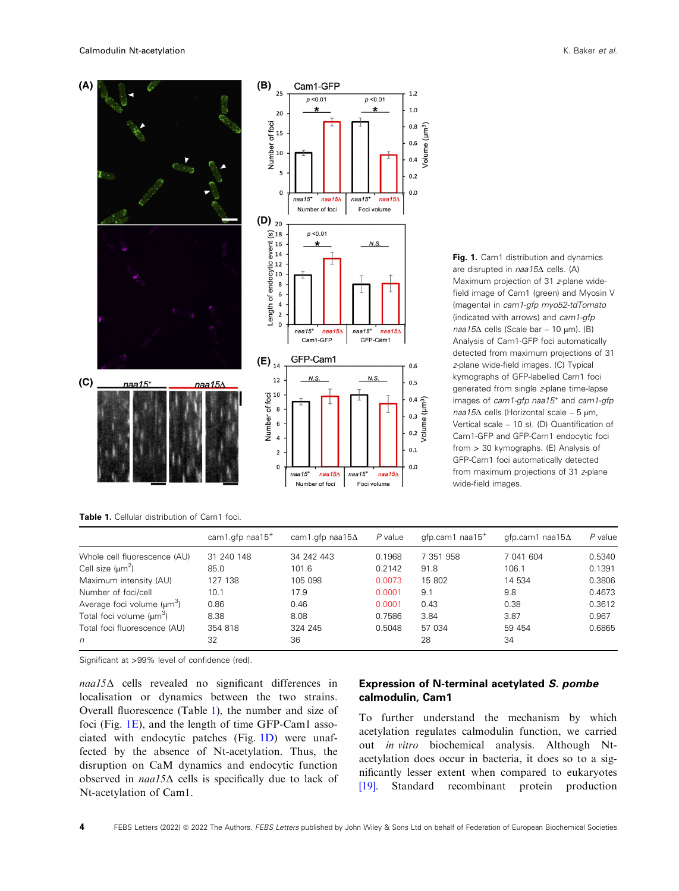

Fig. 1. Cam1 distribution and dynamics are disrupted in naa15Δ cells. (A) Maximum projection of 31 z-plane widefield image of Cam1 (green) and Myosin V (magenta) in cam1-gfp myo52-tdTomato (indicated with arrows) and cam1-gfp  $naa15\Delta$  cells (Scale bar – 10 µm). (B) Analysis of Cam1-GFP foci automatically detected from maximum projections of 31 z-plane wide-field images. (C) Typical kymographs of GFP-labelled Cam1 foci generated from single z-plane time-lapse images of cam1-gfp naa15<sup>+</sup> and cam1-gfp naa15Δ cells (Horizontal scale – 5 µm, Vertical scale – 10 s). (D) Quantification of Cam1-GFP and GFP-Cam1 endocytic foci from > 30 kymographs. (E) Analysis of GFP-Cam1 foci automatically detected from maximum projections of 31 z-plane wide-field images.

Table 1. Cellular distribution of Cam1 foci.

|                                        | cam1.gfp $naa15+$ | cam1.gfp naa15 $\Delta$ | P value | qfp.cam1 naa15 <sup>+</sup> | qfp.cam1 naa15 $\Delta$ | $P$ value |
|----------------------------------------|-------------------|-------------------------|---------|-----------------------------|-------------------------|-----------|
| Whole cell fluorescence (AU)           | 31 240 148        | 34 242 443              | 0.1968  | 7 351 958                   | 7 041 604               | 0.5340    |
| Cell size $(\mu m^2)$<br>85.0          |                   | 101.6                   | 0.2142  | 91.8                        | 106.1                   | 0.1391    |
| Maximum intensity (AU)                 | 127 138           | 105 098                 | 0.0073  | 15 802                      | 14 534                  | 0.3806    |
| Number of foci/cell                    | 10.1              | 17.9                    | 0.0001  | 9.1                         | 9.8                     | 0.4673    |
| Average foci volume (um <sup>3</sup> ) | 0.86              | 0.46                    | 0.0001  | 0.43                        | 0.38                    | 0.3612    |
| Total foci volume $(\mu m^3)$          | 8.38              | 8.08                    | 0.7586  | 3.84                        | 3.87                    | 0.967     |
| Total foci fluorescence (AU)           | 354 818           | 324 245                 | 0.5048  | 57 034                      | 59 454                  | 0.6865    |
| n                                      | 32                | 36                      |         | 28                          | 34                      |           |

Significant at >99% level of confidence (red).

naa15Δ cells revealed no significant differences in localisation or dynamics between the two strains. Overall fluorescence (Table 1), the number and size of foci (Fig. 1E), and the length of time GFP-Cam1 associated with endocytic patches (Fig. 1D) were unaffected by the absence of Nt-acetylation. Thus, the disruption on CaM dynamics and endocytic function observed in naa15Δ cells is specifically due to lack of Nt-acetylation of Cam1.

# Expression of N-terminal acetylated S. pombe calmodulin, Cam1

To further understand the mechanism by which acetylation regulates calmodulin function, we carried out in vitro biochemical analysis. Although Ntacetylation does occur in bacteria, it does so to a significantly lesser extent when compared to eukaryotes [19]. Standard recombinant protein production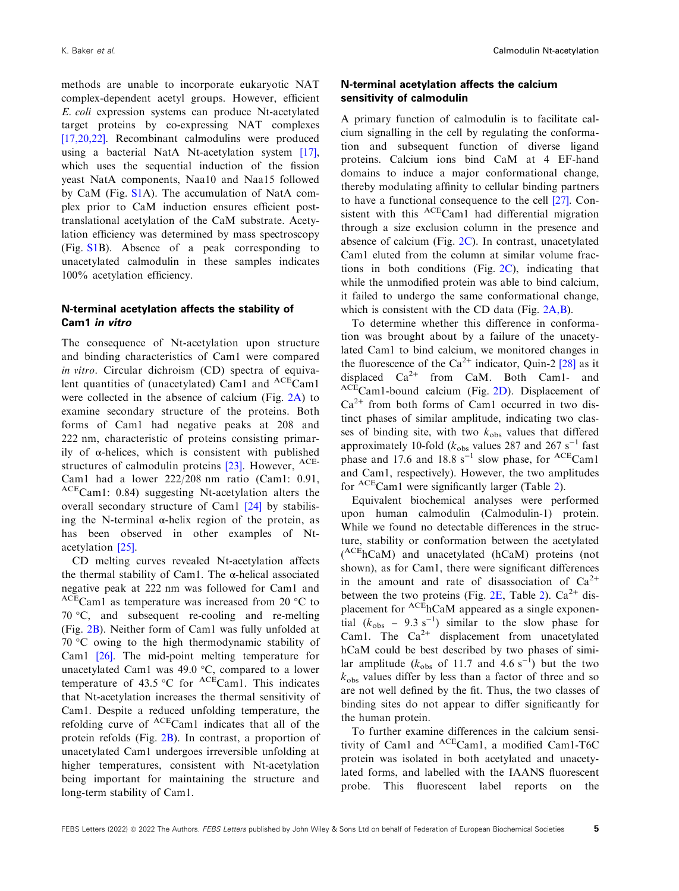K. Baker et al. **Calmodulin Nt-acetylation** Calmodulin Nt-acetylation

methods are unable to incorporate eukaryotic NAT complex-dependent acetyl groups. However, efficient E. coli expression systems can produce Nt-acetylated target proteins by co-expressing NAT complexes [17,20,22]. Recombinant calmodulins were produced using a bacterial NatA Nt-acetylation system [17], which uses the sequential induction of the fission yeast NatA components, Naa10 and Naa15 followed by CaM (Fig. S1A). The accumulation of NatA complex prior to CaM induction ensures efficient posttranslational acetylation of the CaM substrate. Acetylation efficiency was determined by mass spectroscopy (Fig. S1B). Absence of a peak corresponding to unacetylated calmodulin in these samples indicates 100% acetylation efficiency.

# N-terminal acetylation affects the stability of Cam1 in vitro

The consequence of Nt-acetylation upon structure and binding characteristics of Cam1 were compared in vitro. Circular dichroism (CD) spectra of equivalent quantities of (unacetylated) Cam1 and  ${}^{ACE}$ Cam1 were collected in the absence of calcium (Fig. 2A) to examine secondary structure of the proteins. Both forms of Cam1 had negative peaks at 208 and 222 nm, characteristic of proteins consisting primarily of  $\alpha$ -helices, which is consistent with published structures of calmodulin proteins [23]. However, <sup>ACE-</sup> Cam1 had a lower 222/208 nm ratio (Cam1: 0.91, ACECam1: 0.84) suggesting Nt-acetylation alters the overall secondary structure of Cam1 [24] by stabilising the N-terminal  $\alpha$ -helix region of the protein, as has been observed in other examples of Ntacetylation [25].

CD melting curves revealed Nt-acetylation affects the thermal stability of Cam1. The α-helical associated negative peak at 222 nm was followed for Cam1 and  ${}^{ACE}$ Cam1 as temperature was increased from 20  ${}^{\circ}$ C to 70 °C, and subsequent re-cooling and re-melting (Fig. 2B). Neither form of Cam1 was fully unfolded at 70 °C owing to the high thermodynamic stability of Cam1 [26]. The mid-point melting temperature for unacetylated Cam1 was 49.0 °C, compared to a lower temperature of 43.5 °C for <sup>ACE</sup>Cam1. This indicates that Nt-acetylation increases the thermal sensitivity of Cam1. Despite a reduced unfolding temperature, the refolding curve of ACECam1 indicates that all of the protein refolds (Fig. 2B). In contrast, a proportion of unacetylated Cam1 undergoes irreversible unfolding at higher temperatures, consistent with Nt-acetylation being important for maintaining the structure and long-term stability of Cam1.

# N-terminal acetylation affects the calcium sensitivity of calmodulin

A primary function of calmodulin is to facilitate calcium signalling in the cell by regulating the conformation and subsequent function of diverse ligand proteins. Calcium ions bind CaM at 4 EF-hand domains to induce a major conformational change, thereby modulating affinity to cellular binding partners to have a functional consequence to the cell [27]. Consistent with this <sup>ACE</sup>Cam1 had differential migration through a size exclusion column in the presence and absence of calcium (Fig. 2C). In contrast, unacetylated Cam1 eluted from the column at similar volume fractions in both conditions (Fig.  $2C$ ), indicating that while the unmodified protein was able to bind calcium, it failed to undergo the same conformational change, which is consistent with the CD data (Fig. 2A,B).

To determine whether this difference in conformation was brought about by a failure of the unacetylated Cam1 to bind calcium, we monitored changes in the fluorescence of the Ca<sup>2+</sup> indicator, Quin-2 [28] as it displaced  $Ca^{2+}$  from CaM. Both Cam1- and ACECam1-bound calcium (Fig. 2D). Displacement of  $Ca<sup>2+</sup>$  from both forms of Cam1 occurred in two distinct phases of similar amplitude, indicating two classes of binding site, with two  $k_{obs}$  values that differed approximately 10-fold ( $k_{\text{obs}}$  values 287 and 267 s<sup>-1</sup> fast phase and 17.6 and 18.8 s<sup>-1</sup> slow phase, for <sup>ACE</sup>Cam1 and Cam1, respectively). However, the two amplitudes for <sup>ACE</sup>Cam1 were significantly larger (Table 2).

Equivalent biochemical analyses were performed upon human calmodulin (Calmodulin-1) protein. While we found no detectable differences in the structure, stability or conformation between the acetylated ( ACEhCaM) and unacetylated (hCaM) proteins (not shown), as for Cam1, there were significant differences in the amount and rate of disassociation of  $Ca^{2+}$ between the two proteins (Fig. 2E, Table 2).  $Ca^{2+}$  displacement for  ${}^{ACE}$ hCaM appeared as a single exponential  $(k_{obs} - 9.3 s^{-1})$  similar to the slow phase for Cam1. The  $Ca^{2+}$  displacement from unacetylated hCaM could be best described by two phases of similar amplitude ( $k_{obs}$  of 11.7 and 4.6 s<sup>-1</sup>) but the two  $k_{\text{obs}}$  values differ by less than a factor of three and so are not well defined by the fit. Thus, the two classes of binding sites do not appear to differ significantly for the human protein.

To further examine differences in the calcium sensitivity of Cam1 and <sup>ACE</sup>Cam1, a modified Cam1-T6C protein was isolated in both acetylated and unacetylated forms, and labelled with the IAANS fluorescent probe. This fluorescent label reports on the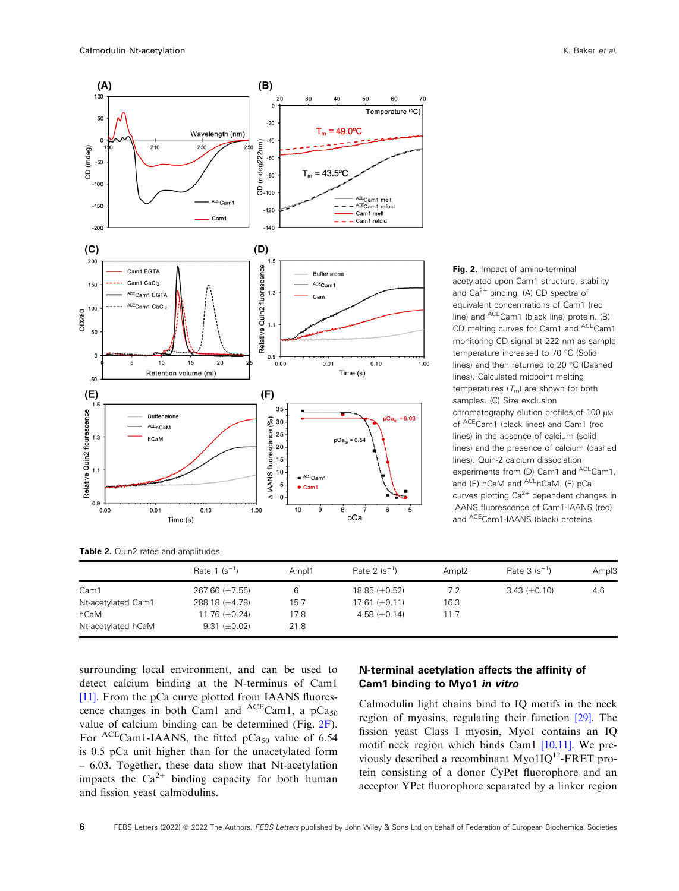

Fig. 2. Impact of amino-terminal acetylated upon Cam1 structure, stability and  $Ca^{2+}$  binding. (A) CD spectra of equivalent concentrations of Cam1 (red line) and <sup>ACE</sup>Cam1 (black line) protein. (B) CD melting curves for Cam1 and <sup>ACE</sup>Cam1 monitoring CD signal at 222 nm as sample temperature increased to 70 °C (Solid lines) and then returned to 20 °C (Dashed lines). Calculated midpoint melting temperatures  $(T_m)$  are shown for both samples. (C) Size exclusion chromatography elution profiles of 100  $\mu$ M of ACECam1 (black lines) and Cam1 (red lines) in the absence of calcium (solid lines) and the presence of calcium (dashed lines). Quin-2 calcium dissociation experiments from (D) Cam1 and <sup>ACE</sup>Cam1, and (E) hCaM and ACEhCaM. (F) pCa curves plotting  $Ca^{2+}$  dependent changes in IAANS fluorescence of Cam1-IAANS (red) and <sup>ACE</sup>Cam1-IAANS (black) proteins.

Table 2. Quin2 rates and amplitudes.

|                    | Rate $1 (s^{-1})$   | Ampl1 | Rate 2 $(s^{-1})$    | Ampl <sub>2</sub> | Rate $3 (s^{-1})$   | Ampl3 |
|--------------------|---------------------|-------|----------------------|-------------------|---------------------|-------|
| Cam1               | 267.66 (±7.55)      |       | $18.85 \ (\pm 0.52)$ | 7.2               | $3.43 \ (\pm 0.10)$ | 4.6   |
| Nt-acetylated Cam1 | 288.18 $(\pm 4.78)$ | 15.7  | 17.61 $(\pm 0.11)$   | 16.3              |                     |       |
| hCaM               | 11.76 $(\pm 0.24)$  | 17.8  | 4.58 $(\pm 0.14)$    | 11.7              |                     |       |
| Nt-acetylated hCaM | $9.31 \ (\pm 0.02)$ | 21.8  |                      |                   |                     |       |

surrounding local environment, and can be used to detect calcium binding at the N-terminus of Cam1 [11]. From the pCa curve plotted from IAANS fluorescence changes in both Cam1 and  ${}^{ACE}$ Cam1, a pCa<sub>50</sub> value of calcium binding can be determined (Fig. 2F). For <sup>ACE</sup>Cam1-IAANS, the fitted pCa<sub>50</sub> value of 6.54 is 0.5 pCa unit higher than for the unacetylated form – 6.03. Together, these data show that Nt-acetylation impacts the  $Ca^{2+}$  binding capacity for both human and fission yeast calmodulins.

# N-terminal acetylation affects the affinity of Cam1 binding to Myo1 in vitro

Calmodulin light chains bind to IQ motifs in the neck region of myosins, regulating their function [29]. The fission yeast Class I myosin, Myo1 contains an IQ motif neck region which binds Cam1 [10,11]. We previously described a recombinant Myo $1IQ^{12}$ -FRET protein consisting of a donor CyPet fluorophore and an acceptor YPet fluorophore separated by a linker region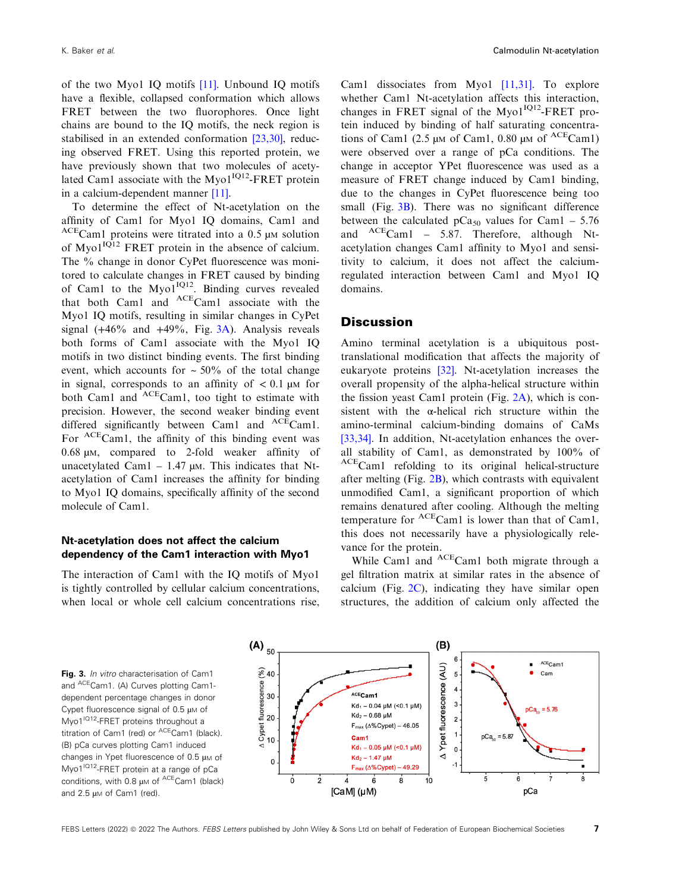of the two Myo1 IQ motifs [11]. Unbound IQ motifs have a flexible, collapsed conformation which allows FRET between the two fluorophores. Once light chains are bound to the IQ motifs, the neck region is stabilised in an extended conformation [23,30], reducing observed FRET. Using this reported protein, we have previously shown that two molecules of acetylated Cam1 associate with the  $M$ yo1<sup>IQ12</sup>-FRET protein in a calcium-dependent manner [11].

To determine the effect of Nt-acetylation on the affinity of Cam1 for Myo1 IQ domains, Cam1 and  $ACE$ Cam1 proteins were titrated into a 0.5  $\mu$ M solution of  $M$ yo $1^{IQ12}$  FRET protein in the absence of calcium. The % change in donor CyPet fluorescence was monitored to calculate changes in FRET caused by binding of Cam1 to the  $M\text{vol}^{IQ12}$ . Binding curves revealed that both Cam1 and ACECam1 associate with the Myo1 IQ motifs, resulting in similar changes in CyPet signal  $(+46\%$  and  $+49\%$ , Fig.  $3\text{\AA})$ . Analysis reveals both forms of Cam1 associate with the Myo1 IQ motifs in two distinct binding events. The first binding event, which accounts for  $\sim 50\%$  of the total change in signal, corresponds to an affinity of  $\lt 0.1 \mu M$  for both Cam1 and <sup>ACE</sup>Cam1, too tight to estimate with precision. However, the second weaker binding event differed significantly between Cam1 and  ${}^{ACE}$ Cam1. For <sup>ACE</sup>Cam1, the affinity of this binding event was 0.68 µM, compared to 2-fold weaker affinity of unacetylated Cam1 – 1.47  $\mu$ M. This indicates that Ntacetylation of Cam1 increases the affinity for binding to Myo1 IQ domains, specifically affinity of the second molecule of Cam1.

# Nt-acetylation does not affect the calcium dependency of the Cam1 interaction with Myo1

The interaction of Cam1 with the IQ motifs of Myo1 is tightly controlled by cellular calcium concentrations, when local or whole cell calcium concentrations rise, Cam1 dissociates from Myo1 [11,31]. To explore whether Cam1 Nt-acetylation affects this interaction, changes in FRET signal of the  $M$ yo $1^{1Q12}$ -FRET protein induced by binding of half saturating concentrations of Cam1 (2.5  $\mu$ M of Cam1, 0.80  $\mu$ M of <sup>ACE</sup>Cam1) were observed over a range of pCa conditions. The change in acceptor YPet fluorescence was used as a measure of FRET change induced by Cam1 binding, due to the changes in CyPet fluorescence being too small (Fig. 3B). There was no significant difference between the calculated  $pCa<sub>50</sub>$  values for Cam1 – 5.76 and  ${}^{ACE}$ Cam1 – 5.87. Therefore, although Ntacetylation changes Cam1 affinity to Myo1 and sensitivity to calcium, it does not affect the calciumregulated interaction between Cam1 and Myo1 IQ domains.

# **Discussion**

Amino terminal acetylation is a ubiquitous posttranslational modification that affects the majority of eukaryote proteins [32]. Nt-acetylation increases the overall propensity of the alpha-helical structure within the fission yeast Cam1 protein (Fig. 2A), which is consistent with the α-helical rich structure within the amino-terminal calcium-binding domains of CaMs [33,34]. In addition, Nt-acetylation enhances the overall stability of Cam1, as demonstrated by 100% of ACECam1 refolding to its original helical-structure after melting (Fig. 2B), which contrasts with equivalent unmodified Cam1, a significant proportion of which remains denatured after cooling. Although the melting temperature for  ${}^{ACE}$ Cam1 is lower than that of Cam1, this does not necessarily have a physiologically relevance for the protein.

While Cam1 and <sup>ACE</sup>Cam1 both migrate through a gel filtration matrix at similar rates in the absence of calcium (Fig.  $2C$ ), indicating they have similar open structures, the addition of calcium only affected the

Fig. 3. In vitro characterisation of Cam1 and ACECam1. (A) Curves plotting Cam1dependent percentage changes in donor Cypet fluorescence signal of 0.5 µM of Myo1<sup>IQ12</sup>-FRET proteins throughout a titration of Cam1 (red) or <sup>ACE</sup>Cam1 (black). (B) pCa curves plotting Cam1 induced changes in Ypet fluorescence of 0.5  $\mu$ M of Myo1<sup>IQ12</sup>-FRET protein at a range of pCa conditions, with 0.8  $\mu$ M of <sup>ACE</sup>Cam1 (black) and 2.5 µM of Cam1 (red).

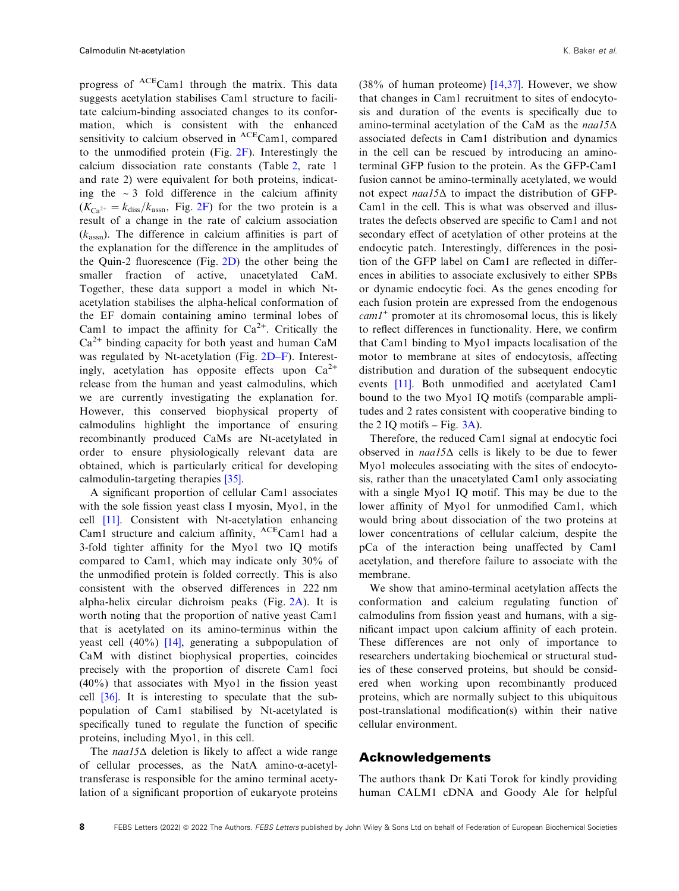progress of ACECam1 through the matrix. This data suggests acetylation stabilises Cam1 structure to facilitate calcium-binding associated changes to its conformation, which is consistent with the enhanced sensitivity to calcium observed in <sup>ACE</sup>Cam1, compared to the unmodified protein (Fig. 2F). Interestingly the calcium dissociation rate constants (Table 2, rate 1 and rate 2) were equivalent for both proteins, indicating the  $\sim$  3 fold difference in the calcium affinity  $(K_{\text{Ca}^{2+}} = k_{\text{diss}}/k_{\text{assn}}$ , Fig. 2F) for the two protein is a result of a change in the rate of calcium association  $(k<sub>assn</sub>)$ . The difference in calcium affinities is part of the explanation for the difference in the amplitudes of the Quin-2 fluorescence (Fig. 2D) the other being the smaller fraction of active, unacetylated CaM. Together, these data support a model in which Ntacetylation stabilises the alpha-helical conformation of the EF domain containing amino terminal lobes of Cam1 to impact the affinity for  $Ca^{2+}$ . Critically the  $Ca<sup>2+</sup>$  binding capacity for both yeast and human CaM was regulated by Nt-acetylation (Fig. 2D–F). Interestingly, acetylation has opposite effects upon  $Ca^{2+}$ release from the human and yeast calmodulins, which we are currently investigating the explanation for. However, this conserved biophysical property of calmodulins highlight the importance of ensuring recombinantly produced CaMs are Nt-acetylated in order to ensure physiologically relevant data are obtained, which is particularly critical for developing calmodulin-targeting therapies [35].

A significant proportion of cellular Cam1 associates with the sole fission yeast class I myosin, Myo1, in the cell [11]. Consistent with Nt-acetylation enhancing Cam1 structure and calcium affinity, <sup>ACE</sup>Cam1 had a 3-fold tighter affinity for the Myo1 two IQ motifs compared to Cam1, which may indicate only 30% of the unmodified protein is folded correctly. This is also consistent with the observed differences in 222 nm alpha-helix circular dichroism peaks (Fig. 2A). It is worth noting that the proportion of native yeast Cam1 that is acetylated on its amino-terminus within the yeast cell  $(40\%)$  [14], generating a subpopulation of CaM with distinct biophysical properties, coincides precisely with the proportion of discrete Cam1 foci (40%) that associates with Myo1 in the fission yeast cell [36]. It is interesting to speculate that the subpopulation of Cam1 stabilised by Nt-acetylated is specifically tuned to regulate the function of specific proteins, including Myo1, in this cell.

The naa15 $\Delta$  deletion is likely to affect a wide range of cellular processes, as the NatA amino-α-acetyltransferase is responsible for the amino terminal acetylation of a significant proportion of eukaryote proteins

(38% of human proteome) [14,37]. However, we show that changes in Cam1 recruitment to sites of endocytosis and duration of the events is specifically due to amino-terminal acetylation of the CaM as the naa15Δ associated defects in Cam1 distribution and dynamics in the cell can be rescued by introducing an aminoterminal GFP fusion to the protein. As the GFP-Cam1 fusion cannot be amino-terminally acetylated, we would not expect naa15Δ to impact the distribution of GFP-Cam1 in the cell. This is what was observed and illustrates the defects observed are specific to Cam1 and not secondary effect of acetylation of other proteins at the endocytic patch. Interestingly, differences in the position of the GFP label on Cam1 are reflected in differences in abilities to associate exclusively to either SPBs or dynamic endocytic foci. As the genes encoding for each fusion protein are expressed from the endogenous  $cam1<sup>+</sup>$  promoter at its chromosomal locus, this is likely to reflect differences in functionality. Here, we confirm that Cam1 binding to Myo1 impacts localisation of the motor to membrane at sites of endocytosis, affecting distribution and duration of the subsequent endocytic events [11]. Both unmodified and acetylated Cam1 bound to the two Myo1 IQ motifs (comparable amplitudes and 2 rates consistent with cooperative binding to the 2 IQ motifs – Fig.  $3A$ ).

Therefore, the reduced Cam1 signal at endocytic foci observed in  $naal5\Delta$  cells is likely to be due to fewer Myo1 molecules associating with the sites of endocytosis, rather than the unacetylated Cam1 only associating with a single Myo1 IQ motif. This may be due to the lower affinity of Myo1 for unmodified Cam1, which would bring about dissociation of the two proteins at lower concentrations of cellular calcium, despite the pCa of the interaction being unaffected by Cam1 acetylation, and therefore failure to associate with the membrane.

We show that amino-terminal acetylation affects the conformation and calcium regulating function of calmodulins from fission yeast and humans, with a significant impact upon calcium affinity of each protein. These differences are not only of importance to researchers undertaking biochemical or structural studies of these conserved proteins, but should be considered when working upon recombinantly produced proteins, which are normally subject to this ubiquitous post-translational modification(s) within their native cellular environment.

# Acknowledgements

The authors thank Dr Kati Torok for kindly providing human CALM1 cDNA and Goody Ale for helpful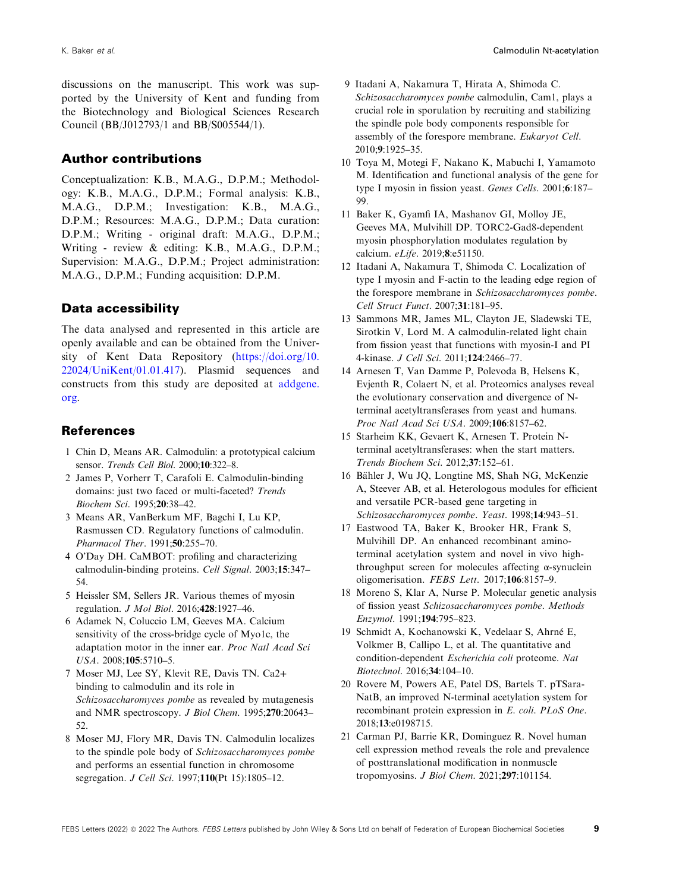discussions on the manuscript. This work was supported by the University of Kent and funding from the Biotechnology and Biological Sciences Research Council (BB/J012793/1 and BB/S005544/1).

# Author contributions

Conceptualization: K.B., M.A.G., D.P.M.; Methodology: K.B., M.A.G., D.P.M.; Formal analysis: K.B., M.A.G., D.P.M.; Investigation: K.B., M.A.G., D.P.M.; Resources: M.A.G., D.P.M.; Data curation: D.P.M.; Writing - original draft: M.A.G., D.P.M.; Writing - review & editing: K.B., M.A.G., D.P.M.; Supervision: M.A.G., D.P.M.; Project administration: M.A.G., D.P.M.; Funding acquisition: D.P.M.

# Data accessibility

The data analysed and represented in this article are openly available and can be obtained from the University of Kent Data Repository ([https://doi.org/10.](https://doi.org/10.22024/UniKent/01.01.417) [22024/UniKent/01.01.417\)](https://doi.org/10.22024/UniKent/01.01.417). Plasmid sequences and constructs from this study are deposited at [addgene.](http://addgene.org) [org](http://addgene.org).

# References

- 1 Chin D, Means AR. Calmodulin: a prototypical calcium sensor. Trends Cell Biol. 2000;10:322–8.
- 2 James P, Vorherr T, Carafoli E. Calmodulin-binding domains: just two faced or multi-faceted? Trends Biochem Sci. 1995;20:38–42.
- 3 Means AR, VanBerkum MF, Bagchi I, Lu KP, Rasmussen CD. Regulatory functions of calmodulin. Pharmacol Ther. 1991;50:255–70.
- 4 O'Day DH. CaMBOT: profiling and characterizing calmodulin-binding proteins. Cell Signal. 2003;15:347– 54.
- 5 Heissler SM, Sellers JR. Various themes of myosin regulation. J Mol Biol. 2016;428:1927–46.
- 6 Adamek N, Coluccio LM, Geeves MA. Calcium sensitivity of the cross-bridge cycle of Myo1c, the adaptation motor in the inner ear. Proc Natl Acad Sci USA. 2008;105:5710–5.
- 7 Moser MJ, Lee SY, Klevit RE, Davis TN. Ca2+ binding to calmodulin and its role in Schizosaccharomyces pombe as revealed by mutagenesis and NMR spectroscopy. J Biol Chem. 1995;270:20643– 52.
- 8 Moser MJ, Flory MR, Davis TN. Calmodulin localizes to the spindle pole body of Schizosaccharomyces pombe and performs an essential function in chromosome segregation. *J Cell Sci.* 1997;110(Pt 15):1805-12.
- 9 Itadani A, Nakamura T, Hirata A, Shimoda C. Schizosaccharomyces pombe calmodulin, Cam1, plays a crucial role in sporulation by recruiting and stabilizing the spindle pole body components responsible for assembly of the forespore membrane. Eukaryot Cell. 2010;9:1925–35.
- 10 Toya M, Motegi F, Nakano K, Mabuchi I, Yamamoto M. Identification and functional analysis of the gene for type I myosin in fission yeast. Genes Cells. 2001;6:187– 99.
- 11 Baker K, Gyamfi IA, Mashanov GI, Molloy JE, Geeves MA, Mulvihill DP. TORC2-Gad8-dependent myosin phosphorylation modulates regulation by calcium. eLife. 2019;8:e51150.
- 12 Itadani A, Nakamura T, Shimoda C. Localization of type I myosin and F-actin to the leading edge region of the forespore membrane in Schizosaccharomyces pombe. Cell Struct Funct. 2007;31:181–95.
- 13 Sammons MR, James ML, Clayton JE, Sladewski TE, Sirotkin V, Lord M. A calmodulin-related light chain from fission yeast that functions with myosin-I and PI 4-kinase. J Cell Sci. 2011;124:2466–77.
- 14 Arnesen T, Van Damme P, Polevoda B, Helsens K, Evjenth R, Colaert N, et al. Proteomics analyses reveal the evolutionary conservation and divergence of Nterminal acetyltransferases from yeast and humans. Proc Natl Acad Sci USA. 2009;106:8157–62.
- 15 Starheim KK, Gevaert K, Arnesen T. Protein Nterminal acetyltransferases: when the start matters. Trends Biochem Sci. 2012;37:152–61.
- 16 Bahler J, Wu JQ, Longtine MS, Shah NG, McKenzie ¨ A, Steever AB, et al. Heterologous modules for efficient and versatile PCR-based gene targeting in Schizosaccharomyces pombe. Yeast. 1998;14:943–51.
- 17 Eastwood TA, Baker K, Brooker HR, Frank S, Mulvihill DP. An enhanced recombinant aminoterminal acetylation system and novel in vivo highthroughput screen for molecules affecting  $\alpha$ -synuclein oligomerisation. FEBS Lett. 2017;106:8157–9.
- 18 Moreno S, Klar A, Nurse P. Molecular genetic analysis of fission yeast Schizosaccharomyces pombe. Methods Enzymol. 1991;194:795–823.
- 19 Schmidt A, Kochanowski K, Vedelaar S, Ahrne E, ´ Volkmer B, Callipo L, et al. The quantitative and condition-dependent Escherichia coli proteome. Nat Biotechnol. 2016;34:104–10.
- 20 Rovere M, Powers AE, Patel DS, Bartels T. pTSara-NatB, an improved N-terminal acetylation system for recombinant protein expression in E. coli. PLoS One. 2018;13:e0198715.
- 21 Carman PJ, Barrie KR, Dominguez R. Novel human cell expression method reveals the role and prevalence of posttranslational modification in nonmuscle tropomyosins. J Biol Chem. 2021;297:101154.